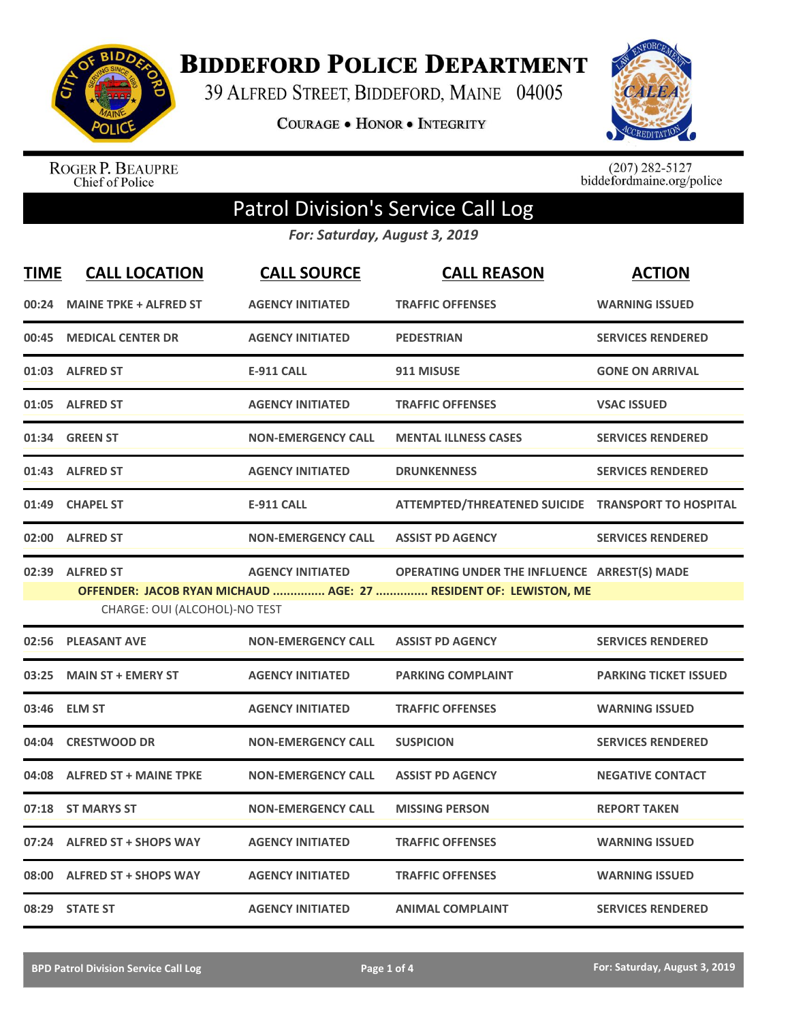

**BIDDEFORD POLICE DEPARTMENT** 

39 ALFRED STREET, BIDDEFORD, MAINE 04005

**COURAGE . HONOR . INTEGRITY** 



ROGER P. BEAUPRE<br>Chief of Police

 $(207)$  282-5127<br>biddefordmaine.org/police

## Patrol Division's Service Call Log

*For: Saturday, August 3, 2019*

| <u>TIME</u> | <b>CALL LOCATION</b>          | <b>CALL SOURCE</b>        | <b>CALL REASON</b>                                               | <b>ACTION</b>                |
|-------------|-------------------------------|---------------------------|------------------------------------------------------------------|------------------------------|
| 00:24       | <b>MAINE TPKE + ALFRED ST</b> | <b>AGENCY INITIATED</b>   | <b>TRAFFIC OFFENSES</b>                                          | <b>WARNING ISSUED</b>        |
| 00:45       | <b>MEDICAL CENTER DR</b>      | <b>AGENCY INITIATED</b>   | <b>PEDESTRIAN</b>                                                | <b>SERVICES RENDERED</b>     |
|             | 01:03 ALFRED ST               | <b>E-911 CALL</b>         | 911 MISUSE                                                       | <b>GONE ON ARRIVAL</b>       |
| 01:05       | <b>ALFRED ST</b>              | <b>AGENCY INITIATED</b>   | <b>TRAFFIC OFFENSES</b>                                          | <b>VSAC ISSUED</b>           |
| 01:34       | <b>GREEN ST</b>               | <b>NON-EMERGENCY CALL</b> | <b>MENTAL ILLNESS CASES</b>                                      | <b>SERVICES RENDERED</b>     |
| 01:43       | <b>ALFRED ST</b>              | <b>AGENCY INITIATED</b>   | <b>DRUNKENNESS</b>                                               | <b>SERVICES RENDERED</b>     |
| 01:49       | <b>CHAPEL ST</b>              | <b>E-911 CALL</b>         | ATTEMPTED/THREATENED SUICIDE TRANSPORT TO HOSPITAL               |                              |
| 02:00       | <b>ALFRED ST</b>              | <b>NON-EMERGENCY CALL</b> | <b>ASSIST PD AGENCY</b>                                          | <b>SERVICES RENDERED</b>     |
|             | 02:39 ALFRED ST               | <b>AGENCY INITIATED</b>   | OPERATING UNDER THE INFLUENCE ARREST(S) MADE                     |                              |
|             | CHARGE: OUI (ALCOHOL)-NO TEST |                           | OFFENDER: JACOB RYAN MICHAUD  AGE: 27  RESIDENT OF: LEWISTON, ME |                              |
| 02:56       | <b>PLEASANT AVE</b>           | <b>NON-EMERGENCY CALL</b> | <b>ASSIST PD AGENCY</b>                                          | <b>SERVICES RENDERED</b>     |
| 03:25       | <b>MAIN ST + EMERY ST</b>     | <b>AGENCY INITIATED</b>   | <b>PARKING COMPLAINT</b>                                         | <b>PARKING TICKET ISSUED</b> |
| 03:46       | <b>ELM ST</b>                 | <b>AGENCY INITIATED</b>   | <b>TRAFFIC OFFENSES</b>                                          | <b>WARNING ISSUED</b>        |
| 04:04       | <b>CRESTWOOD DR</b>           | <b>NON-EMERGENCY CALL</b> | <b>SUSPICION</b>                                                 | <b>SERVICES RENDERED</b>     |
| 04:08       | <b>ALFRED ST + MAINE TPKE</b> | <b>NON-EMERGENCY CALL</b> | <b>ASSIST PD AGENCY</b>                                          | <b>NEGATIVE CONTACT</b>      |
| 07:18       | <b>ST MARYS ST</b>            | <b>NON-EMERGENCY CALL</b> | <b>MISSING PERSON</b>                                            | <b>REPORT TAKEN</b>          |
| 07:24       | <b>ALFRED ST + SHOPS WAY</b>  | <b>AGENCY INITIATED</b>   | <b>TRAFFIC OFFENSES</b>                                          | <b>WARNING ISSUED</b>        |
| 08:00       | <b>ALFRED ST + SHOPS WAY</b>  | <b>AGENCY INITIATED</b>   | <b>TRAFFIC OFFENSES</b>                                          | <b>WARNING ISSUED</b>        |
|             | 08:29 STATE ST                | <b>AGENCY INITIATED</b>   | <b>ANIMAL COMPLAINT</b>                                          | <b>SERVICES RENDERED</b>     |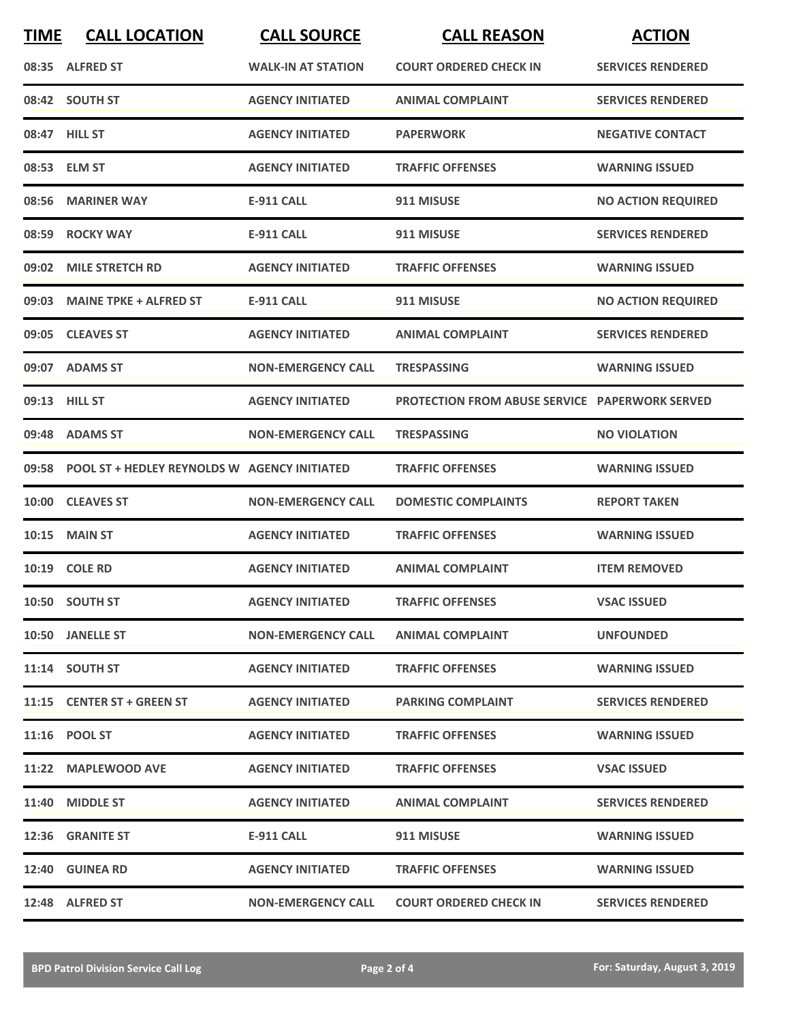| <b>TIME</b> | <b>CALL LOCATION</b>                         | <b>CALL SOURCE</b>        | <b>CALL REASON</b>                                    | <b>ACTION</b>             |
|-------------|----------------------------------------------|---------------------------|-------------------------------------------------------|---------------------------|
|             | 08:35 ALFRED ST                              | <b>WALK-IN AT STATION</b> | <b>COURT ORDERED CHECK IN</b>                         | <b>SERVICES RENDERED</b>  |
|             | 08:42 SOUTH ST                               | <b>AGENCY INITIATED</b>   | <b>ANIMAL COMPLAINT</b>                               | <b>SERVICES RENDERED</b>  |
|             | 08:47 HILL ST                                | <b>AGENCY INITIATED</b>   | <b>PAPERWORK</b>                                      | <b>NEGATIVE CONTACT</b>   |
|             | 08:53 ELM ST                                 | <b>AGENCY INITIATED</b>   | <b>TRAFFIC OFFENSES</b>                               | <b>WARNING ISSUED</b>     |
|             | 08:56 MARINER WAY                            | <b>E-911 CALL</b>         | 911 MISUSE                                            | <b>NO ACTION REQUIRED</b> |
|             | 08:59 ROCKY WAY                              | <b>E-911 CALL</b>         | 911 MISUSE                                            | <b>SERVICES RENDERED</b>  |
| 09:02       | <b>MILE STRETCH RD</b>                       | <b>AGENCY INITIATED</b>   | <b>TRAFFIC OFFENSES</b>                               | <b>WARNING ISSUED</b>     |
|             | 09:03 MAINE TPKE + ALFRED ST                 | E-911 CALL                | 911 MISUSE                                            | <b>NO ACTION REQUIRED</b> |
|             | 09:05 CLEAVES ST                             | <b>AGENCY INITIATED</b>   | <b>ANIMAL COMPLAINT</b>                               | <b>SERVICES RENDERED</b>  |
|             | 09:07 ADAMS ST                               | <b>NON-EMERGENCY CALL</b> | <b>TRESPASSING</b>                                    | <b>WARNING ISSUED</b>     |
|             | 09:13 HILL ST                                | <b>AGENCY INITIATED</b>   | <b>PROTECTION FROM ABUSE SERVICE PAPERWORK SERVED</b> |                           |
|             | 09:48 ADAMS ST                               | <b>NON-EMERGENCY CALL</b> | <b>TRESPASSING</b>                                    | <b>NO VIOLATION</b>       |
| 09:58       | POOL ST + HEDLEY REYNOLDS W AGENCY INITIATED |                           | <b>TRAFFIC OFFENSES</b>                               | <b>WARNING ISSUED</b>     |
| 10:00       | <b>CLEAVES ST</b>                            | <b>NON-EMERGENCY CALL</b> | <b>DOMESTIC COMPLAINTS</b>                            | <b>REPORT TAKEN</b>       |
| 10:15       | <b>MAIN ST</b>                               | <b>AGENCY INITIATED</b>   | <b>TRAFFIC OFFENSES</b>                               | <b>WARNING ISSUED</b>     |
|             | 10:19 COLE RD                                | <b>AGENCY INITIATED</b>   | <b>ANIMAL COMPLAINT</b>                               | <b>ITEM REMOVED</b>       |
|             | 10:50 SOUTH ST                               | <b>AGENCY INITIATED</b>   | <b>TRAFFIC OFFENSES</b>                               | <b>VSAC ISSUED</b>        |
|             | 10:50 JANELLE ST                             | <b>NON-EMERGENCY CALL</b> | <b>ANIMAL COMPLAINT</b>                               | <b>UNFOUNDED</b>          |
|             | 11:14 SOUTH ST                               | <b>AGENCY INITIATED</b>   | <b>TRAFFIC OFFENSES</b>                               | <b>WARNING ISSUED</b>     |
|             | 11:15 CENTER ST + GREEN ST                   | <b>AGENCY INITIATED</b>   | <b>PARKING COMPLAINT</b>                              | <b>SERVICES RENDERED</b>  |
|             | 11:16 POOL ST                                | <b>AGENCY INITIATED</b>   | <b>TRAFFIC OFFENSES</b>                               | <b>WARNING ISSUED</b>     |
|             | 11:22 MAPLEWOOD AVE                          | <b>AGENCY INITIATED</b>   | <b>TRAFFIC OFFENSES</b>                               | <b>VSAC ISSUED</b>        |
|             | 11:40 MIDDLE ST                              | <b>AGENCY INITIATED</b>   | <b>ANIMAL COMPLAINT</b>                               | <b>SERVICES RENDERED</b>  |
|             | 12:36 GRANITE ST                             | E-911 CALL                | 911 MISUSE                                            | <b>WARNING ISSUED</b>     |
|             | 12:40 GUINEA RD                              | <b>AGENCY INITIATED</b>   | <b>TRAFFIC OFFENSES</b>                               | <b>WARNING ISSUED</b>     |
|             | 12:48 ALFRED ST                              | <b>NON-EMERGENCY CALL</b> | <b>COURT ORDERED CHECK IN</b>                         | <b>SERVICES RENDERED</b>  |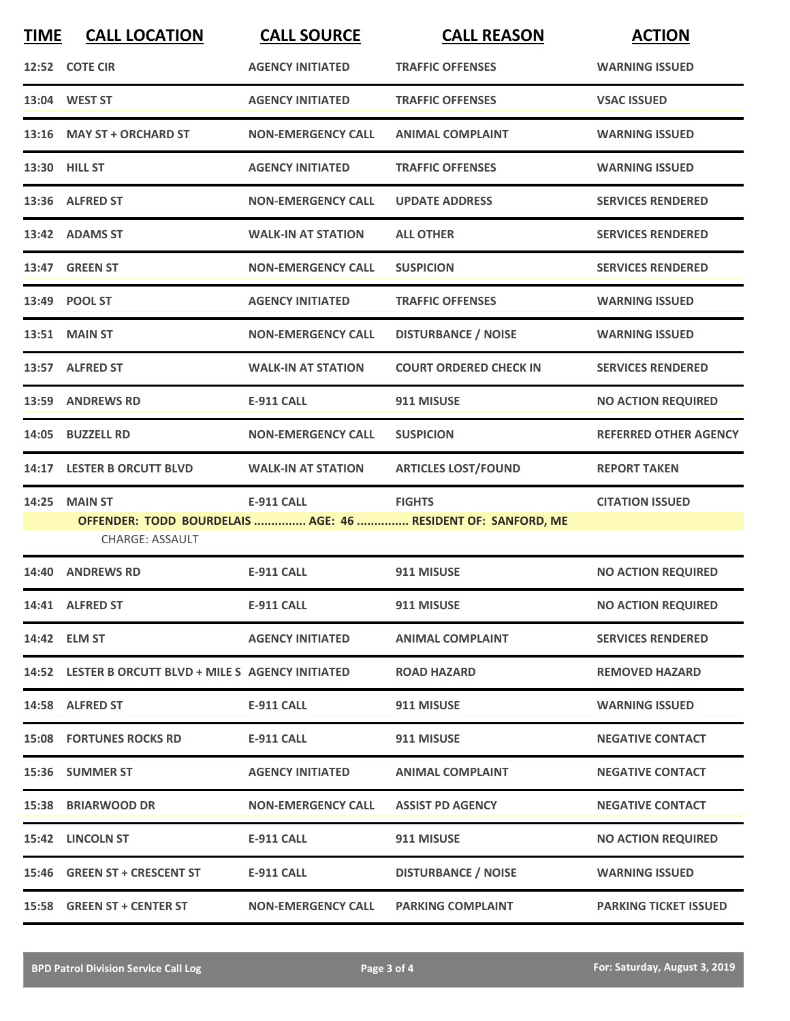| <b>TIME</b> | <b>CALL LOCATION</b>                                 | <b>CALL SOURCE</b>        | <b>CALL REASON</b>                                           | <b>ACTION</b>                |
|-------------|------------------------------------------------------|---------------------------|--------------------------------------------------------------|------------------------------|
|             | 12:52 COTE CIR                                       | <b>AGENCY INITIATED</b>   | <b>TRAFFIC OFFENSES</b>                                      | <b>WARNING ISSUED</b>        |
|             | 13:04 WEST ST                                        | <b>AGENCY INITIATED</b>   | <b>TRAFFIC OFFENSES</b>                                      | <b>VSAC ISSUED</b>           |
|             | 13:16 MAY ST + ORCHARD ST                            | <b>NON-EMERGENCY CALL</b> | <b>ANIMAL COMPLAINT</b>                                      | <b>WARNING ISSUED</b>        |
|             | 13:30 HILL ST                                        | <b>AGENCY INITIATED</b>   | <b>TRAFFIC OFFENSES</b>                                      | <b>WARNING ISSUED</b>        |
|             | 13:36 ALFRED ST                                      | <b>NON-EMERGENCY CALL</b> | <b>UPDATE ADDRESS</b>                                        | <b>SERVICES RENDERED</b>     |
|             | 13:42 ADAMS ST                                       | <b>WALK-IN AT STATION</b> | <b>ALL OTHER</b>                                             | <b>SERVICES RENDERED</b>     |
|             | 13:47 GREEN ST                                       | <b>NON-EMERGENCY CALL</b> | <b>SUSPICION</b>                                             | <b>SERVICES RENDERED</b>     |
|             | 13:49 POOL ST                                        | <b>AGENCY INITIATED</b>   | <b>TRAFFIC OFFENSES</b>                                      | <b>WARNING ISSUED</b>        |
|             | <b>13:51 MAIN ST</b>                                 | <b>NON-EMERGENCY CALL</b> | <b>DISTURBANCE / NOISE</b>                                   | <b>WARNING ISSUED</b>        |
|             | 13:57 ALFRED ST                                      | <b>WALK-IN AT STATION</b> | <b>COURT ORDERED CHECK IN</b>                                | <b>SERVICES RENDERED</b>     |
|             | 13:59 ANDREWS RD                                     | <b>E-911 CALL</b>         | 911 MISUSE                                                   | <b>NO ACTION REQUIRED</b>    |
| 14:05       | <b>BUZZELL RD</b>                                    | <b>NON-EMERGENCY CALL</b> | <b>SUSPICION</b>                                             | <b>REFERRED OTHER AGENCY</b> |
| 14:17       | <b>LESTER B ORCUTT BLVD</b>                          | <b>WALK-IN AT STATION</b> | <b>ARTICLES LOST/FOUND</b>                                   | <b>REPORT TAKEN</b>          |
| 14:25       | <b>MAIN ST</b>                                       | <b>E-911 CALL</b>         | <b>FIGHTS</b>                                                | <b>CITATION ISSUED</b>       |
|             | <b>CHARGE: ASSAULT</b>                               |                           | OFFENDER: TODD BOURDELAIS  AGE: 46  RESIDENT OF: SANFORD, ME |                              |
|             | 14:40 ANDREWS RD                                     | <b>E-911 CALL</b>         | 911 MISUSE                                                   | <b>NO ACTION REQUIRED</b>    |
|             | 14:41 ALFRED ST                                      | <b>E-911 CALL</b>         | 911 MISUSE                                                   | <b>NO ACTION REQUIRED</b>    |
|             | 14:42 ELM ST                                         | <b>AGENCY INITIATED</b>   | <b>ANIMAL COMPLAINT</b>                                      | <b>SERVICES RENDERED</b>     |
|             | 14:52 LESTER B ORCUTT BLVD + MILE S AGENCY INITIATED |                           | <b>ROAD HAZARD</b>                                           | <b>REMOVED HAZARD</b>        |
|             | 14:58 ALFRED ST                                      | <b>E-911 CALL</b>         | 911 MISUSE                                                   | <b>WARNING ISSUED</b>        |
|             | <b>15:08 FORTUNES ROCKS RD</b>                       | E-911 CALL                | 911 MISUSE                                                   | <b>NEGATIVE CONTACT</b>      |
|             | 15:36 SUMMER ST                                      | <b>AGENCY INITIATED</b>   | <b>ANIMAL COMPLAINT</b>                                      | <b>NEGATIVE CONTACT</b>      |
|             | 15:38 BRIARWOOD DR                                   | <b>NON-EMERGENCY CALL</b> | <b>ASSIST PD AGENCY</b>                                      | <b>NEGATIVE CONTACT</b>      |
|             | 15:42 LINCOLN ST                                     | E-911 CALL                | 911 MISUSE                                                   | <b>NO ACTION REQUIRED</b>    |
|             | 15:46 GREEN ST + CRESCENT ST                         | <b>E-911 CALL</b>         | <b>DISTURBANCE / NOISE</b>                                   | <b>WARNING ISSUED</b>        |
|             | 15:58 GREEN ST + CENTER ST                           | <b>NON-EMERGENCY CALL</b> | <b>PARKING COMPLAINT</b>                                     | <b>PARKING TICKET ISSUED</b> |